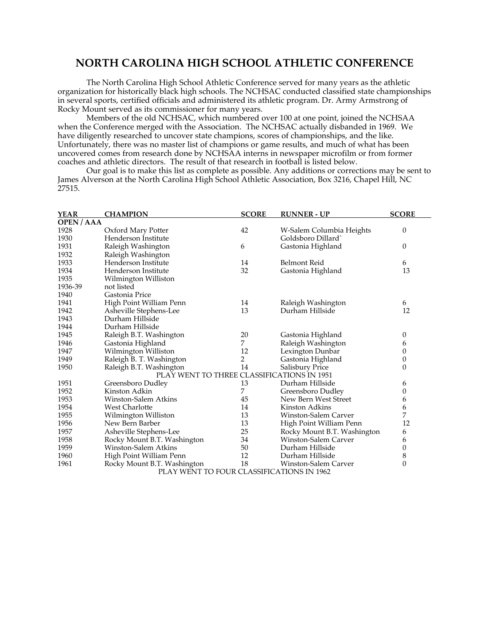## **NORTH CAROLINA HIGH SCHOOL ATHLETIC CONFERENCE**

The North Carolina High School Athletic Conference served for many years as the athletic organization for historically black high schools. The NCHSAC conducted classified state championships in several sports, certified officials and administered its athletic program. Dr. Army Armstrong of Rocky Mount served as its commissioner for many years.

Members of the old NCHSAC, which numbered over 100 at one point, joined the NCHSAA when the Conference merged with the Association. The NCHSAC actually disbanded in 1969. We have diligently researched to uncover state champions, scores of championships, and the like. Unfortunately, there was no master list of champions or game results, and much of what has been uncovered comes from research done by NCHSAA interns in newspaper microfilm or from former coaches and athletic directors. The result of that research in football is listed below.

Our goal is to make this list as complete as possible. Any additions or corrections may be sent to James Alverson at the North Carolina High School Athletic Association, Box 3216, Chapel Hill, NC 27515.

| <b>YEAR</b>                                | <b>CHAMPION</b>             | <b>SCORE</b> | <b>RUNNER - UP</b>          | <b>SCORE</b>     |  |  |  |  |
|--------------------------------------------|-----------------------------|--------------|-----------------------------|------------------|--|--|--|--|
| <b>OPEN / AAA</b>                          |                             |              |                             |                  |  |  |  |  |
| 1928                                       | Oxford Mary Potter          | 42           | W-Salem Columbia Heights    | 0                |  |  |  |  |
| 1930                                       | Henderson Institute         |              | Goldsboro Dillard`          |                  |  |  |  |  |
| 1931                                       | Raleigh Washington          | 6            | Gastonia Highland           | 0                |  |  |  |  |
| 1932                                       | Raleigh Washington          |              |                             |                  |  |  |  |  |
| 1933                                       | Henderson Institute         | 14           | Belmont Reid                | 6                |  |  |  |  |
| 1934                                       | Henderson Institute         | 32           | Gastonia Highland           | 13               |  |  |  |  |
| 1935                                       | Wilmington Williston        |              |                             |                  |  |  |  |  |
| 1936-39                                    | not listed                  |              |                             |                  |  |  |  |  |
| 1940                                       | Gastonia Price              |              |                             |                  |  |  |  |  |
| 1941                                       | High Point William Penn     | 14           | Raleigh Washington          | 6                |  |  |  |  |
| 1942                                       | Asheville Stephens-Lee      | 13           | Durham Hillside             | 12               |  |  |  |  |
| 1943                                       | Durham Hillside             |              |                             |                  |  |  |  |  |
| 1944                                       | Durham Hillside             |              |                             |                  |  |  |  |  |
| 1945                                       | Raleigh B.T. Washington     | 20           | Gastonia Highland           | 0                |  |  |  |  |
| 1946                                       | Gastonia Highland           | 7            | Raleigh Washington          | 6                |  |  |  |  |
| 1947                                       | Wilmington Williston        | 12           | Lexington Dunbar            | 0                |  |  |  |  |
| 1949                                       | Raleigh B. T. Washington    | 2            | Gastonia Highland           | 0                |  |  |  |  |
| 1950                                       | Raleigh B.T. Washington     | 14           | <b>Salisbury Price</b>      | $\overline{0}$   |  |  |  |  |
| PLAY WENT TO THREE CLASSIFICATIONS IN 1951 |                             |              |                             |                  |  |  |  |  |
| 1951                                       | Greensboro Dudley           | 13           | Durham Hillside             | 6                |  |  |  |  |
| 1952                                       | Kinston Adkin               | 7            | Greensboro Dudley           | 0                |  |  |  |  |
| 1953                                       | Winston-Salem Atkins        | 45           | New Bern West Street        | 6                |  |  |  |  |
| 1954                                       | <b>West Charlotte</b>       | 14           | Kinston Adkins              | 6                |  |  |  |  |
| 1955                                       | Wilmington Williston        | 13           | Winston-Salem Carver        | 7                |  |  |  |  |
| 1956                                       | New Bern Barber             | 13           | High Point William Penn     | 12               |  |  |  |  |
| 1957                                       | Asheville Stephens-Lee      | 25           | Rocky Mount B.T. Washington | 6                |  |  |  |  |
| 1958                                       | Rocky Mount B.T. Washington | 34           | Winston-Salem Carver        | 6                |  |  |  |  |
| 1959                                       | <b>Winston-Salem Atkins</b> | 50           | Durham Hillside             | $\boldsymbol{0}$ |  |  |  |  |
| 1960                                       | High Point William Penn     | 12           | Durham Hillside             | 8                |  |  |  |  |
| 1961                                       | Rocky Mount B.T. Washington | 18           | Winston-Salem Carver        | $\overline{0}$   |  |  |  |  |
| PLAY WENT TO FOUR CLASSIFICATIONS IN 1962  |                             |              |                             |                  |  |  |  |  |